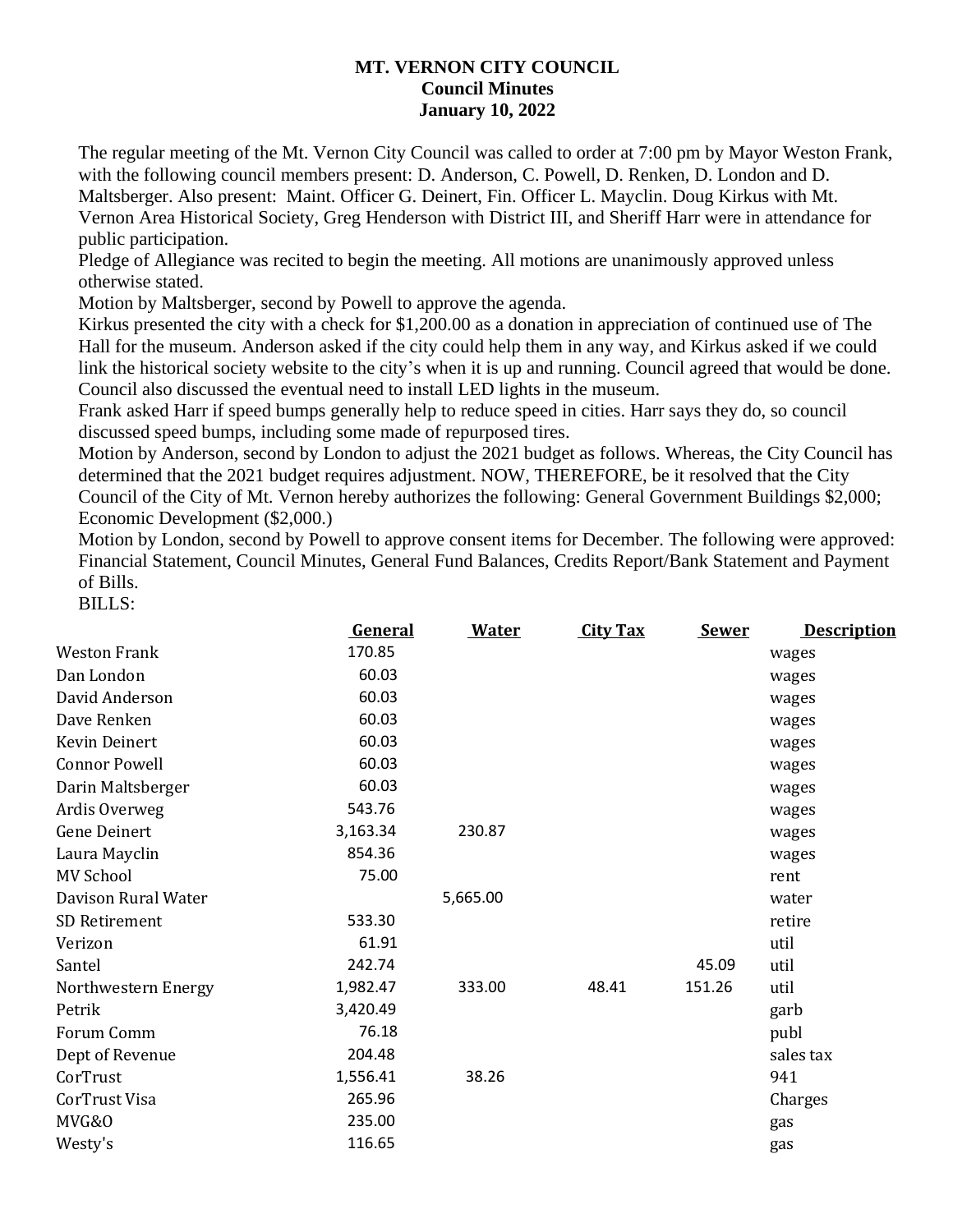## **MT. VERNON CITY COUNCIL Council Minutes January 10, 2022**

The regular meeting of the Mt. Vernon City Council was called to order at 7:00 pm by Mayor Weston Frank, with the following council members present: D. Anderson, C. Powell, D. Renken, D. London and D. Maltsberger. Also present: Maint. Officer G. Deinert, Fin. Officer L. Mayclin. Doug Kirkus with Mt. Vernon Area Historical Society, Greg Henderson with District III, and Sheriff Harr were in attendance for public participation.

Pledge of Allegiance was recited to begin the meeting. All motions are unanimously approved unless otherwise stated.

Motion by Maltsberger, second by Powell to approve the agenda.

Kirkus presented the city with a check for \$1,200.00 as a donation in appreciation of continued use of The Hall for the museum. Anderson asked if the city could help them in any way, and Kirkus asked if we could link the historical society website to the city's when it is up and running. Council agreed that would be done. Council also discussed the eventual need to install LED lights in the museum.

Frank asked Harr if speed bumps generally help to reduce speed in cities. Harr says they do, so council discussed speed bumps, including some made of repurposed tires.

Motion by Anderson, second by London to adjust the 2021 budget as follows. Whereas, the City Council has determined that the 2021 budget requires adjustment. NOW, THEREFORE, be it resolved that the City Council of the City of Mt. Vernon hereby authorizes the following: General Government Buildings \$2,000; Economic Development (\$2,000.)

Motion by London, second by Powell to approve consent items for December. The following were approved: Financial Statement, Council Minutes, General Fund Balances, Credits Report/Bank Statement and Payment of Bills.

BILLS:

| <b>General</b><br><b>Water</b><br><b>City Tax</b><br><b>Sewer</b>    | <b>Description</b> |
|----------------------------------------------------------------------|--------------------|
| 170.85<br><b>Weston Frank</b><br>wages                               |                    |
| 60.03<br>Dan London<br>wages                                         |                    |
| 60.03<br>David Anderson<br>wages                                     |                    |
| 60.03<br>Dave Renken<br>wages                                        |                    |
| 60.03<br>Kevin Deinert<br>wages                                      |                    |
| 60.03<br><b>Connor Powell</b><br>wages                               |                    |
| Darin Maltsberger<br>60.03<br>wages                                  |                    |
| Ardis Overweg<br>543.76<br>wages                                     |                    |
| <b>Gene Deinert</b><br>230.87<br>3,163.34<br>wages                   |                    |
| Laura Mayclin<br>854.36<br>wages                                     |                    |
| 75.00<br><b>MV School</b><br>rent                                    |                    |
| Davison Rural Water<br>5,665.00<br>water                             |                    |
| SD Retirement<br>533.30<br>retire                                    |                    |
| 61.91<br>Verizon<br>util                                             |                    |
| 242.74<br>45.09<br>Santel<br>util                                    |                    |
| 333.00<br>Northwestern Energy<br>1,982.47<br>48.41<br>151.26<br>util |                    |
| Petrik<br>3,420.49<br>garb                                           |                    |
| 76.18<br>Forum Comm<br>publ                                          |                    |
| 204.48<br>sales tax<br>Dept of Revenue                               |                    |
| 38.26<br>CorTrust<br>1,556.41<br>941                                 |                    |
| 265.96<br>CorTrust Visa<br>Charges                                   |                    |
| 235.00<br>MVG&O<br>gas                                               |                    |
| 116.65<br>Westy's<br>gas                                             |                    |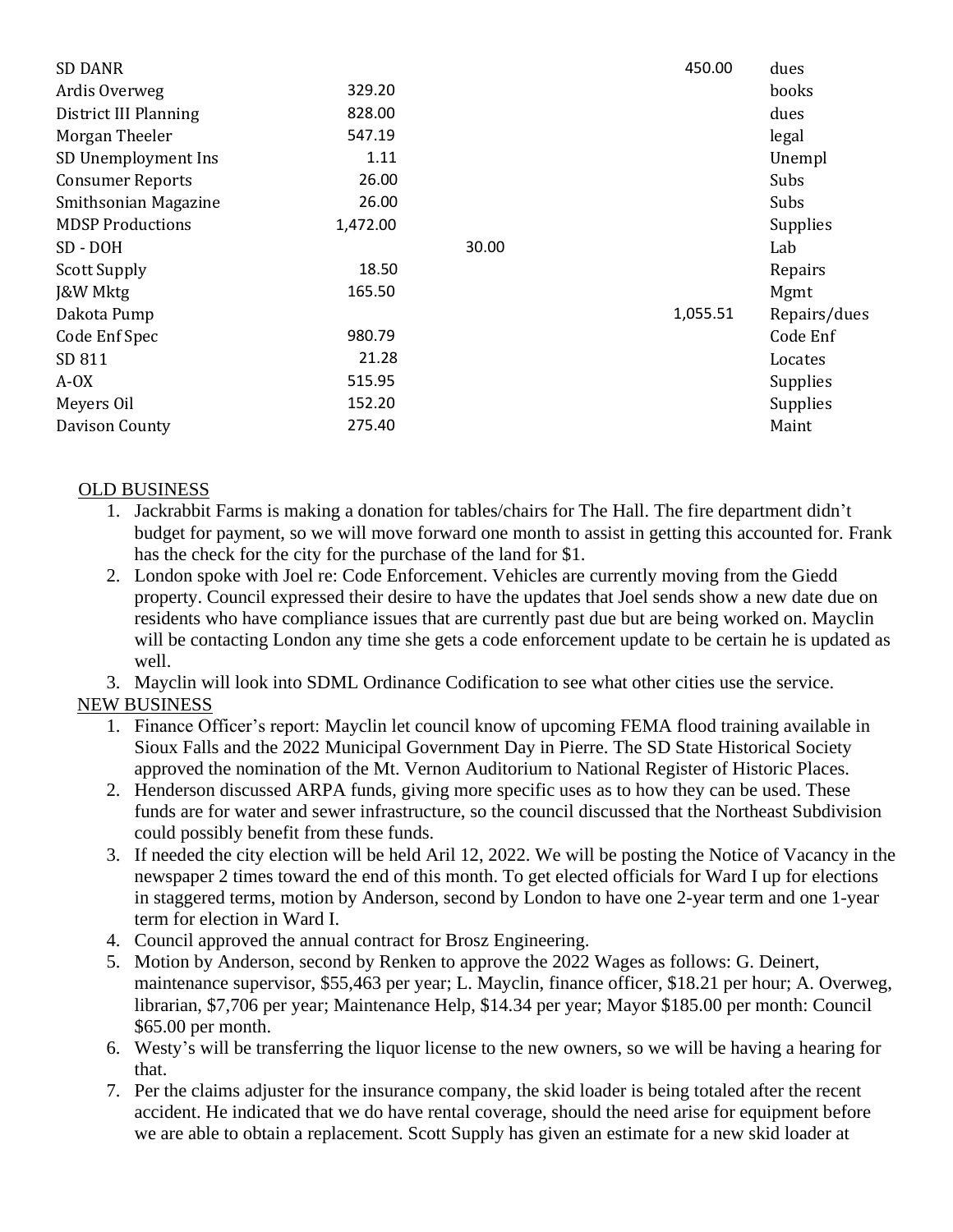| <b>SD DANR</b>          |          |       | 450.00   | dues         |
|-------------------------|----------|-------|----------|--------------|
| Ardis Overweg           | 329.20   |       |          | books        |
| District III Planning   | 828.00   |       |          | dues         |
| Morgan Theeler          | 547.19   |       |          | legal        |
| SD Unemployment Ins     | 1.11     |       |          | Unempl       |
| <b>Consumer Reports</b> | 26.00    |       |          | Subs         |
| Smithsonian Magazine    | 26.00    |       |          | Subs         |
| <b>MDSP Productions</b> | 1,472.00 |       |          | Supplies     |
| SD - DOH                |          | 30.00 |          | Lab          |
| <b>Scott Supply</b>     | 18.50    |       |          | Repairs      |
| J&W Mktg                | 165.50   |       |          | Mgmt         |
| Dakota Pump             |          |       | 1,055.51 | Repairs/dues |
| Code Enf Spec           | 980.79   |       |          | Code Enf     |
| SD 811                  | 21.28    |       |          | Locates      |
| $A-OX$                  | 515.95   |       |          | Supplies     |
| Meyers Oil              | 152.20   |       |          | Supplies     |
| Davison County          | 275.40   |       |          | Maint        |
|                         |          |       |          |              |

## OLD BUSINESS

- 1. Jackrabbit Farms is making a donation for tables/chairs for The Hall. The fire department didn't budget for payment, so we will move forward one month to assist in getting this accounted for. Frank has the check for the city for the purchase of the land for \$1.
- 2. London spoke with Joel re: Code Enforcement. Vehicles are currently moving from the Giedd property. Council expressed their desire to have the updates that Joel sends show a new date due on residents who have compliance issues that are currently past due but are being worked on. Mayclin will be contacting London any time she gets a code enforcement update to be certain he is updated as well.

3. Mayclin will look into SDML Ordinance Codification to see what other cities use the service. NEW BUSINESS

- 1. Finance Officer's report: Mayclin let council know of upcoming FEMA flood training available in Sioux Falls and the 2022 Municipal Government Day in Pierre. The SD State Historical Society approved the nomination of the Mt. Vernon Auditorium to National Register of Historic Places.
- 2. Henderson discussed ARPA funds, giving more specific uses as to how they can be used. These funds are for water and sewer infrastructure, so the council discussed that the Northeast Subdivision could possibly benefit from these funds.
- 3. If needed the city election will be held Aril 12, 2022. We will be posting the Notice of Vacancy in the newspaper 2 times toward the end of this month. To get elected officials for Ward I up for elections in staggered terms, motion by Anderson, second by London to have one 2-year term and one 1-year term for election in Ward I.
- 4. Council approved the annual contract for Brosz Engineering.
- 5. Motion by Anderson, second by Renken to approve the 2022 Wages as follows: G. Deinert, maintenance supervisor, \$55,463 per year; L. Mayclin, finance officer, \$18.21 per hour; A. Overweg, librarian, \$7,706 per year; Maintenance Help, \$14.34 per year; Mayor \$185.00 per month: Council \$65.00 per month.
- 6. Westy's will be transferring the liquor license to the new owners, so we will be having a hearing for that.
- 7. Per the claims adjuster for the insurance company, the skid loader is being totaled after the recent accident. He indicated that we do have rental coverage, should the need arise for equipment before we are able to obtain a replacement. Scott Supply has given an estimate for a new skid loader at